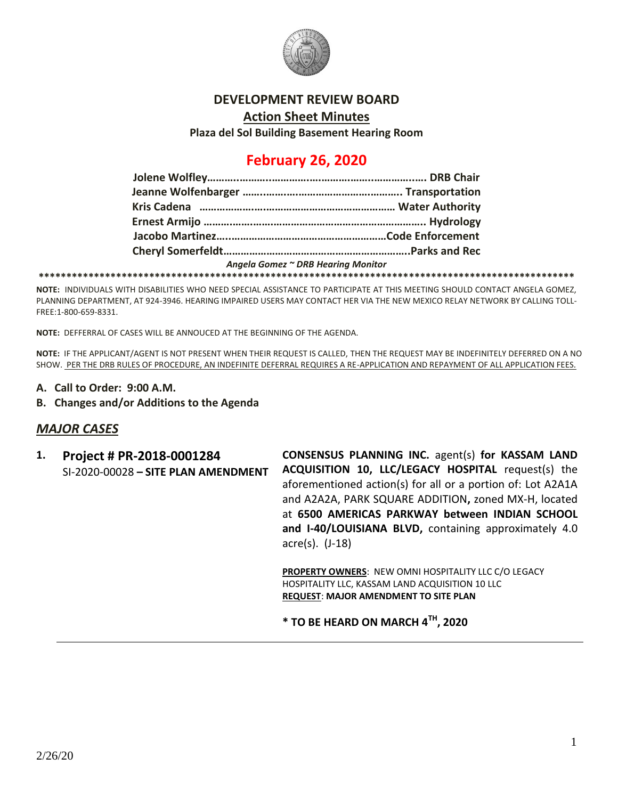

### **DEVELOPMENT REVIEW BOARD**

**Action Sheet Minutes**

**Plaza del Sol Building Basement Hearing Room**

# **February 26, 2020**

| Angela Gomez ~ DRB Hearing Monitor |  |
|------------------------------------|--|
|                                    |  |

**NOTE:** INDIVIDUALS WITH DISABILITIES WHO NEED SPECIAL ASSISTANCE TO PARTICIPATE AT THIS MEETING SHOULD CONTACT ANGELA GOMEZ, PLANNING DEPARTMENT, AT 924-3946. HEARING IMPAIRED USERS MAY CONTACT HER VIA THE NEW MEXICO RELAY NETWORK BY CALLING TOLL-FREE:1-800-659-8331.

**NOTE:** DEFFERRAL OF CASES WILL BE ANNOUCED AT THE BEGINNING OF THE AGENDA.

**NOTE:** IF THE APPLICANT/AGENT IS NOT PRESENT WHEN THEIR REQUEST IS CALLED, THEN THE REQUEST MAY BE INDEFINITELY DEFERRED ON A NO SHOW. PER THE DRB RULES OF PROCEDURE, AN INDEFINITE DEFERRAL REQUIRES A RE-APPLICATION AND REPAYMENT OF ALL APPLICATION FEES.

- **A. Call to Order: 9:00 A.M.**
- **B. Changes and/or Additions to the Agenda**

## *MAJOR CASES*

**1. Project # PR-2018-0001284** SI-2020-00028 **– SITE PLAN AMENDMENT** **CONSENSUS PLANNING INC.** agent(s) **for KASSAM LAND ACQUISITION 10, LLC/LEGACY HOSPITAL** request(s) the aforementioned action(s) for all or a portion of: Lot A2A1A and A2A2A, PARK SQUARE ADDITION**,** zoned MX-H, located at **6500 AMERICAS PARKWAY between INDIAN SCHOOL and I-40/LOUISIANA BLVD,** containing approximately 4.0 acre(s). (J-18)

**PROPERTY OWNERS**: NEW OMNI HOSPITALITY LLC C/O LEGACY HOSPITALITY LLC, KASSAM LAND ACQUISITION 10 LLC **REQUEST**: **MAJOR AMENDMENT TO SITE PLAN** 

**\* TO BE HEARD ON MARCH 4TH, 2020**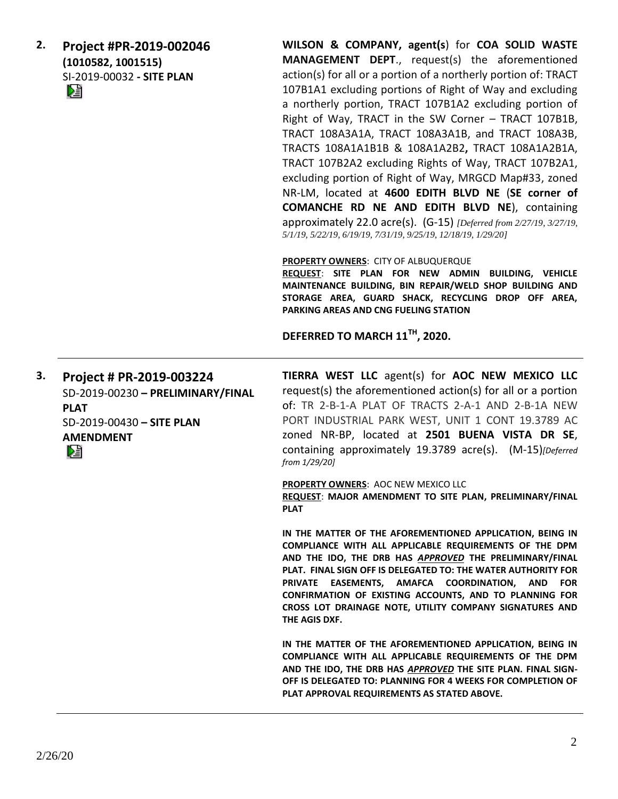**2. Project #PR-2019-002046 (1010582, 1001515)** SI-2019-00032 **- SITE PLAN** 

**WILSON & COMPANY, agent(s**) for **COA SOLID WASTE MANAGEMENT DEPT**., request(s) the aforementioned action(s) for all or a portion of a northerly portion of: TRACT 107B1A1 excluding portions of Right of Way and excluding a northerly portion, TRACT 107B1A2 excluding portion of Right of Way, TRACT in the SW Corner – TRACT 107B1B, TRACT 108A3A1A, TRACT 108A3A1B, and TRACT 108A3B, TRACTS 108A1A1B1B & 108A1A2B2**,** TRACT 108A1A2B1A, TRACT 107B2A2 excluding Rights of Way, TRACT 107B2A1, excluding portion of Right of Way, MRGCD Map#33, zoned NR-LM, located at **4600 EDITH BLVD NE** (**SE corner of COMANCHE RD NE AND EDITH BLVD NE**), containing approximately 22.0 acre(s). (G-15) *[Deferred from 2/27/19, 3/27/19, 5/1/19, 5/22/19, 6/19/19, 7/31/19, 9/25/19, 12/18/19, 1/29/20]*

**PROPERTY OWNERS**: CITY OF ALBUQUERQUE

**REQUEST**: **SITE PLAN FOR NEW ADMIN BUILDING, VEHICLE MAINTENANCE BUILDING, BIN REPAIR/WELD SHOP BUILDING AND STORAGE AREA, GUARD SHACK, RECYCLING DROP OFF AREA, PARKING AREAS AND CNG FUELING STATION**

**DEFERRED TO MARCH 11TH, 2020.**

**3. Project # PR-2019-003224** SD-2019-00230 **– PRELIMINARY/FINAL PLAT** SD-2019-00430 **– SITE PLAN AMENDMENT**

**TIERRA WEST LLC** agent(s) for **AOC NEW MEXICO LLC** request(s) the aforementioned action(s) for all or a portion of: TR 2-B-1-A PLAT OF TRACTS 2-A-1 AND 2-B-1A NEW PORT INDUSTRIAL PARK WEST, UNIT 1 CONT 19.3789 AC zoned NR-BP, located at **2501 BUENA VISTA DR SE**, containing approximately 19.3789 acre(s). (M-15)*[Deferred from 1/29/20]*

**PROPERTY OWNERS**: AOC NEW MEXICO LLC **REQUEST**: **MAJOR AMENDMENT TO SITE PLAN, PRELIMINARY/FINAL PLAT**

**IN THE MATTER OF THE AFOREMENTIONED APPLICATION, BEING IN COMPLIANCE WITH ALL APPLICABLE REQUIREMENTS OF THE DPM AND THE IDO, THE DRB HAS** *APPROVED* **THE PRELIMINARY/FINAL PLAT. FINAL SIGN OFF IS DELEGATED TO: THE WATER AUTHORITY FOR PRIVATE EASEMENTS, AMAFCA COORDINATION, AND FOR CONFIRMATION OF EXISTING ACCOUNTS, AND TO PLANNING FOR CROSS LOT DRAINAGE NOTE, UTILITY COMPANY SIGNATURES AND THE AGIS DXF.**

**IN THE MATTER OF THE AFOREMENTIONED APPLICATION, BEING IN COMPLIANCE WITH ALL APPLICABLE REQUIREMENTS OF THE DPM AND THE IDO, THE DRB HAS** *APPROVED* **THE SITE PLAN. FINAL SIGN-OFF IS DELEGATED TO: PLANNING FOR 4 WEEKS FOR COMPLETION OF PLAT APPROVAL REQUIREMENTS AS STATED ABOVE.**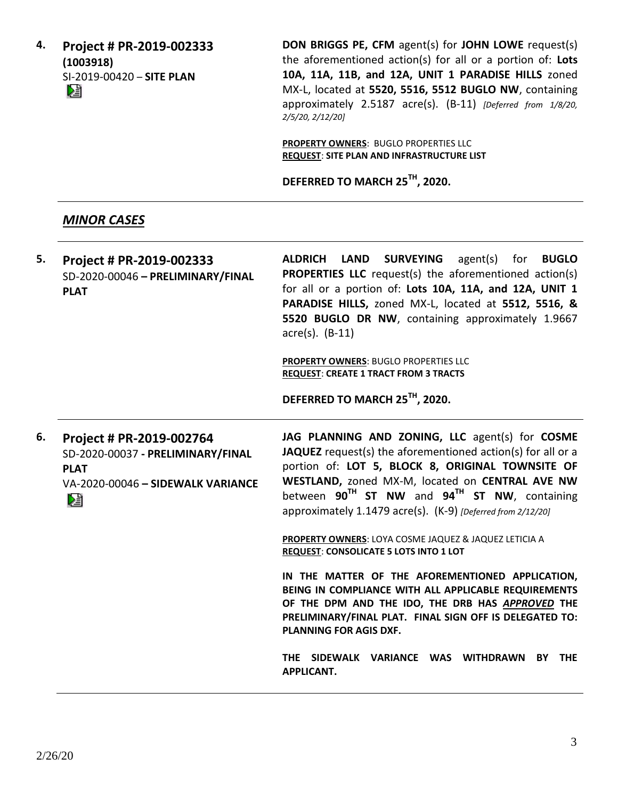**4. Project # PR-2019-002333 (1003918)** SI-2019-00420 – **SITE PLAN**

**DON BRIGGS PE, CFM** agent(s) for **JOHN LOWE** request(s) the aforementioned action(s) for all or a portion of: **Lots 10A, 11A, 11B, and 12A, UNIT 1 PARADISE HILLS** zoned MX-L, located at **5520, 5516, 5512 BUGLO NW**, containing approximately 2.5187 acre(s). (B-11) *[Deferred from 1/8/20, 2/5/20, 2/12/20]*

**PROPERTY OWNERS**: BUGLO PROPERTIES LLC **REQUEST**: **SITE PLAN AND INFRASTRUCTURE LIST**

**DEFERRED TO MARCH 25TH, 2020.**

# *MINOR CASES*

| 5. | Project # PR-2019-002333          | ALDRICH LAND SURVEYING agent(s) for BUGLO                     |
|----|-----------------------------------|---------------------------------------------------------------|
|    | SD-2020-00046 - PRELIMINARY/FINAL | <b>PROPERTIES LLC</b> request(s) the aforementioned action(s) |
|    | <b>PLAT</b>                       | for all or a portion of: Lots 10A, 11A, and 12A, UNIT 1       |
|    |                                   | PARADISE HILLS, zoned MX-L, located at 5512, 5516, &          |
|    |                                   | 5520 BUGLO DR NW, containing approximately 1.9667             |
|    |                                   | $\arccos(5)$ . (B-11)                                         |
|    |                                   |                                                               |

**PROPERTY OWNERS**: BUGLO PROPERTIES LLC **REQUEST**: **CREATE 1 TRACT FROM 3 TRACTS**

**DEFERRED TO MARCH 25TH, 2020.**

**6. Project # PR-2019-002764** SD-2020-00037 **- PRELIMINARY/FINAL PLAT** VA-2020-00046 **– SIDEWALK VARIANCE** DÈ

**JAG PLANNING AND ZONING, LLC** agent(s) for **COSME JAQUEZ** request(s) the aforementioned action(s) for all or a portion of: **LOT 5, BLOCK 8, ORIGINAL TOWNSITE OF WESTLAND,** zoned MX-M, located on **CENTRAL AVE NW**  between **90TH ST NW** and **94TH ST NW**, containing approximately 1.1479 acre(s). (K-9) *[Deferred from 2/12/20]*

**PROPERTY OWNERS**: LOYA COSME JAQUEZ & JAQUEZ LETICIA A **REQUEST**: **CONSOLICATE 5 LOTS INTO 1 LOT**

**IN THE MATTER OF THE AFOREMENTIONED APPLICATION, BEING IN COMPLIANCE WITH ALL APPLICABLE REQUIREMENTS OF THE DPM AND THE IDO, THE DRB HAS** *APPROVED* **THE PRELIMINARY/FINAL PLAT. FINAL SIGN OFF IS DELEGATED TO: PLANNING FOR AGIS DXF.**

**THE SIDEWALK VARIANCE WAS WITHDRAWN BY THE APPLICANT.**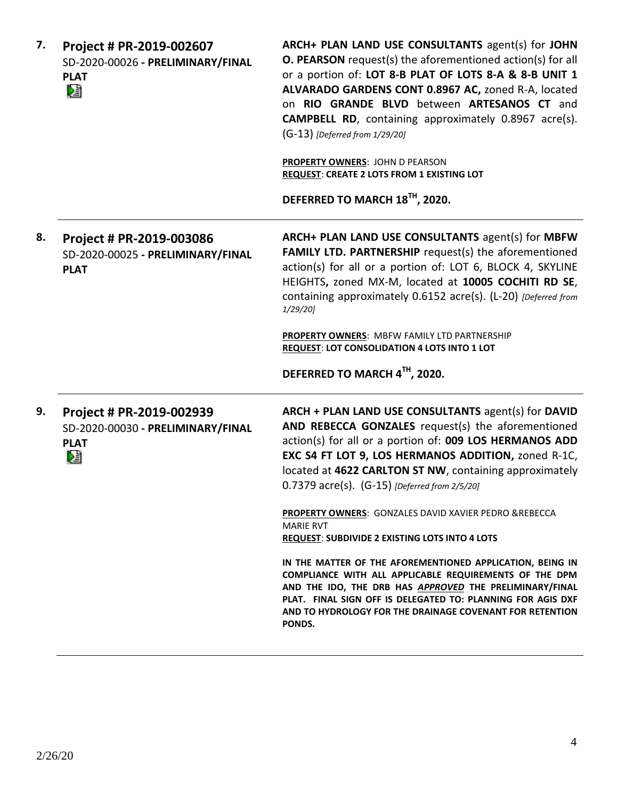| 7. | Project # PR-2019-002607<br>SD-2020-00026 - PRELIMINARY/FINAL<br><b>PLAT</b><br>M | ARCH+ PLAN LAND USE CONSULTANTS agent(s) for JOHN<br><b>O. PEARSON</b> request(s) the aforementioned action(s) for all<br>or a portion of: LOT 8-B PLAT OF LOTS 8-A & 8-B UNIT 1<br>ALVARADO GARDENS CONT 0.8967 AC, zoned R-A, located<br>on RIO GRANDE BLVD between ARTESANOS CT and<br><b>CAMPBELL RD</b> , containing approximately 0.8967 acre(s).<br>(G-13) [Deferred from 1/29/20]<br><b>PROPERTY OWNERS: JOHN D PEARSON</b><br><b>REQUEST: CREATE 2 LOTS FROM 1 EXISTING LOT</b><br>DEFERRED TO MARCH 18TH, 2020. |
|----|-----------------------------------------------------------------------------------|---------------------------------------------------------------------------------------------------------------------------------------------------------------------------------------------------------------------------------------------------------------------------------------------------------------------------------------------------------------------------------------------------------------------------------------------------------------------------------------------------------------------------|
| 8. | Project # PR-2019-003086<br>SD-2020-00025 - PRELIMINARY/FINAL<br><b>PLAT</b>      | ARCH+ PLAN LAND USE CONSULTANTS agent(s) for MBFW<br>FAMILY LTD. PARTNERSHIP request(s) the aforementioned<br>action(s) for all or a portion of: LOT 6, BLOCK 4, SKYLINE<br>HEIGHTS, zoned MX-M, located at 10005 COCHITI RD SE,<br>containing approximately 0.6152 acre(s). (L-20) [Deferred from<br>1/29/20]<br>PROPERTY OWNERS: MBFW FAMILY LTD PARTNERSHIP<br><b>REQUEST: LOT CONSOLIDATION 4 LOTS INTO 1 LOT</b><br>DEFERRED TO MARCH 4TH, 2020.                                                                     |
|    |                                                                                   |                                                                                                                                                                                                                                                                                                                                                                                                                                                                                                                           |
| 9. | Project # PR-2019-002939<br>SD-2020-00030 - PRELIMINARY/FINAL<br><b>PLAT</b><br>熠 | ARCH + PLAN LAND USE CONSULTANTS agent(s) for DAVID<br>AND REBECCA GONZALES request(s) the aforementioned<br>action(s) for all or a portion of: 009 LOS HERMANOS ADD<br>EXC S4 FT LOT 9, LOS HERMANOS ADDITION, zoned R-1C,<br>located at 4622 CARLTON ST NW, containing approximately<br>0.7379 acre(s). (G-15) [Deferred from 2/5/20]                                                                                                                                                                                   |
|    |                                                                                   | <b>PROPERTY OWNERS:</b> GONZALES DAVID XAVIER PEDRO & REBECCA<br><b>MARIE RVT</b><br>REQUEST: SUBDIVIDE 2 EXISTING LOTS INTO 4 LOTS                                                                                                                                                                                                                                                                                                                                                                                       |
|    |                                                                                   | IN THE MATTER OF THE AFOREMENTIONED APPLICATION, BEING IN<br>COMPLIANCE WITH ALL APPLICABLE REQUIREMENTS OF THE DPM<br>AND THE IDO, THE DRB HAS APPROVED THE PRELIMINARY/FINAL<br>PLAT. FINAL SIGN OFF IS DELEGATED TO: PLANNING FOR AGIS DXF<br>AND TO HYDROLOGY FOR THE DRAINAGE COVENANT FOR RETENTION<br>PONDS.                                                                                                                                                                                                       |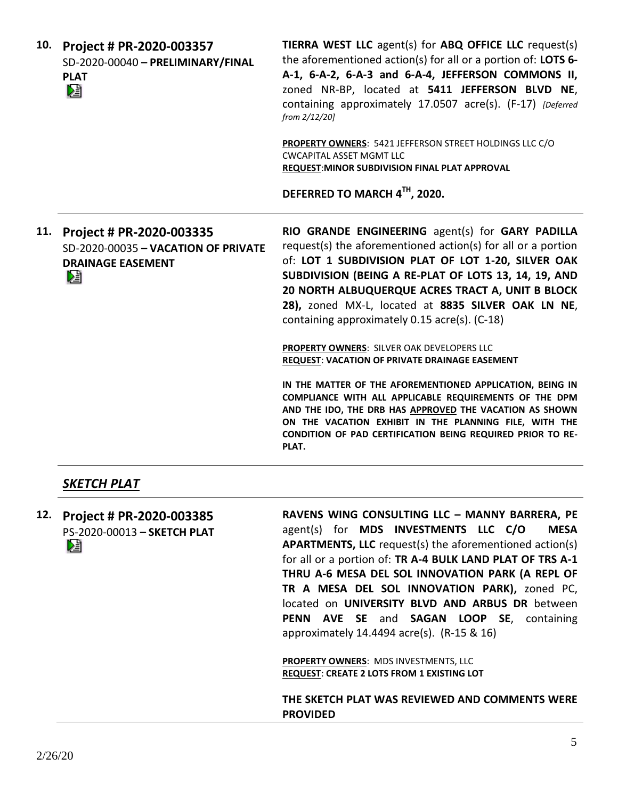| 10. | Project # PR-2020-003357<br>SD-2020-00040 - PRELIMINARY/FINAL<br><b>PLAT</b><br>熖                | TIERRA WEST LLC agent(s) for ABQ OFFICE LLC request(s)<br>the aforementioned action(s) for all or a portion of: LOTS 6-<br>A-1, 6-A-2, 6-A-3 and 6-A-4, JEFFERSON COMMONS II,<br>zoned NR-BP, located at 5411 JEFFERSON BLVD NE,<br>containing approximately 17.0507 acre(s). (F-17) [Deferred<br>from 2/12/20]<br><b>PROPERTY OWNERS: 5421 JEFFERSON STREET HOLDINGS LLC C/O</b><br><b>CWCAPITAL ASSET MGMT LLC</b>                                                             |
|-----|--------------------------------------------------------------------------------------------------|----------------------------------------------------------------------------------------------------------------------------------------------------------------------------------------------------------------------------------------------------------------------------------------------------------------------------------------------------------------------------------------------------------------------------------------------------------------------------------|
|     |                                                                                                  | REQUEST: MINOR SUBDIVISION FINAL PLAT APPROVAL                                                                                                                                                                                                                                                                                                                                                                                                                                   |
|     |                                                                                                  | DEFERRED TO MARCH 4TH, 2020.                                                                                                                                                                                                                                                                                                                                                                                                                                                     |
| 11. | Project # PR-2020-003335<br>SD-2020-00035 - VACATION OF PRIVATE<br><b>DRAINAGE EASEMENT</b><br>N | RIO GRANDE ENGINEERING agent(s) for GARY PADILLA<br>request(s) the aforementioned action(s) for all or a portion<br>of: LOT 1 SUBDIVISION PLAT OF LOT 1-20, SILVER OAK<br>SUBDIVISION (BEING A RE-PLAT OF LOTS 13, 14, 19, AND<br>20 NORTH ALBUQUERQUE ACRES TRACT A, UNIT B BLOCK<br>28), zoned MX-L, located at 8835 SILVER OAK LN NE,<br>containing approximately 0.15 acre(s). (C-18)                                                                                        |
|     |                                                                                                  | PROPERTY OWNERS: SILVER OAK DEVELOPERS LLC<br><b>REQUEST: VACATION OF PRIVATE DRAINAGE EASEMENT</b>                                                                                                                                                                                                                                                                                                                                                                              |
|     |                                                                                                  | IN THE MATTER OF THE AFOREMENTIONED APPLICATION, BEING IN<br>COMPLIANCE WITH ALL APPLICABLE REQUIREMENTS OF THE DPM<br>AND THE IDO, THE DRB HAS APPROVED THE VACATION AS SHOWN<br>ON THE VACATION EXHIBIT IN THE PLANNING FILE, WITH THE<br>CONDITION OF PAD CERTIFICATION BEING REQUIRED PRIOR TO RE-<br>PLAT.                                                                                                                                                                  |
|     | SKETCH PLAT                                                                                      |                                                                                                                                                                                                                                                                                                                                                                                                                                                                                  |
| 12. | Project # PR-2020-003385<br>PS-2020-00013 - SKETCH PLAT<br>V                                     | RAVENS WING CONSULTING LLC - MANNY BARRERA, PE<br>agent(s) for MDS INVESTMENTS LLC C/O<br><b>MESA</b><br>APARTMENTS, LLC request(s) the aforementioned action(s)<br>for all or a portion of: TR A-4 BULK LAND PLAT OF TRS A-1<br>THRU A-6 MESA DEL SOL INNOVATION PARK (A REPL OF<br>TR A MESA DEL SOL INNOVATION PARK), zoned PC,<br>located on UNIVERSITY BLVD AND ARBUS DR between<br>PENN AVE SE and SAGAN LOOP SE, containing<br>approximately 14.4494 acre(s). (R-15 & 16) |
|     |                                                                                                  | PROPERTY OWNERS: MDS INVESTMENTS, LLC<br><b>REQUEST: CREATE 2 LOTS FROM 1 EXISTING LOT</b>                                                                                                                                                                                                                                                                                                                                                                                       |

**THE SKETCH PLAT WAS REVIEWED AND COMMENTS WERE PROVIDED**